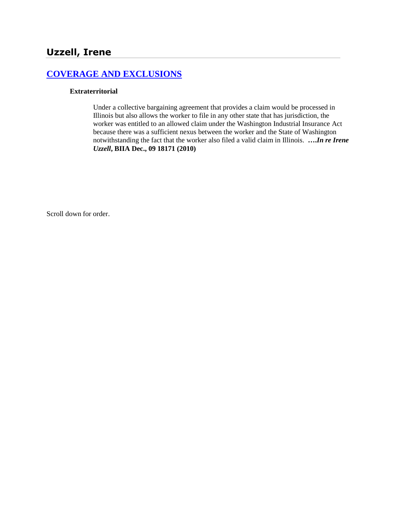# **[COVERAGE AND EXCLUSIONS](http://www.biia.wa.gov/SDSubjectIndex.html#COVERAGE_AND_EXCLUSIONS)**

#### **Extraterritorial**

Under a collective bargaining agreement that provides a claim would be processed in Illinois but also allows the worker to file in any other state that has jurisdiction, the worker was entitled to an allowed claim under the Washington Industrial Insurance Act because there was a sufficient nexus between the worker and the State of Washington notwithstanding the fact that the worker also filed a valid claim in Illinois. **….***In re Irene Uzzell***, BIIA Dec., 09 18171 (2010)**

Scroll down for order.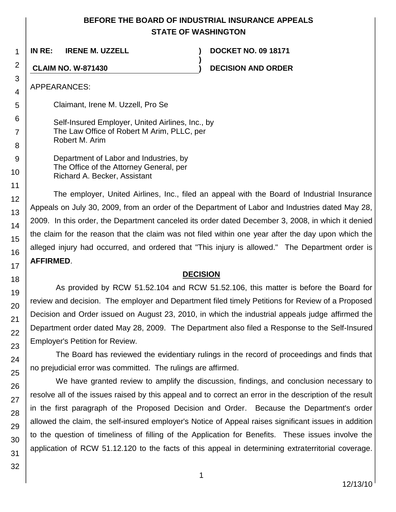### **BEFORE THE BOARD OF INDUSTRIAL INSURANCE APPEALS STATE OF WASHINGTON**

**)**

**IN RE: IRENE M. UZZELL ) DOCKET NO. 09 18171**

**CLAIM NO. W-871430 ) DECISION AND ORDER**

APPEARANCES:

Claimant, Irene M. Uzzell, Pro Se

Self-Insured Employer, United Airlines, Inc., by The Law Office of Robert M Arim, PLLC, per Robert M. Arim

Department of Labor and Industries, by The Office of the Attorney General, per Richard A. Becker, Assistant

The employer, United Airlines, Inc., filed an appeal with the Board of Industrial Insurance Appeals on July 30, 2009, from an order of the Department of Labor and Industries dated May 28, 2009. In this order, the Department canceled its order dated December 3, 2008, in which it denied the claim for the reason that the claim was not filed within one year after the day upon which the alleged injury had occurred, and ordered that "This injury is allowed." The Department order is **AFFIRMED**.

### **DECISION**

As provided by RCW 51.52.104 and RCW 51.52.106, this matter is before the Board for review and decision. The employer and Department filed timely Petitions for Review of a Proposed Decision and Order issued on August 23, 2010, in which the industrial appeals judge affirmed the Department order dated May 28, 2009. The Department also filed a Response to the Self-Insured Employer's Petition for Review.

The Board has reviewed the evidentiary rulings in the record of proceedings and finds that no prejudicial error was committed. The rulings are affirmed.

We have granted review to amplify the discussion, findings, and conclusion necessary to resolve all of the issues raised by this appeal and to correct an error in the description of the result in the first paragraph of the Proposed Decision and Order. Because the Department's order allowed the claim, the self-insured employer's Notice of Appeal raises significant issues in addition to the question of timeliness of filling of the Application for Benefits. These issues involve the application of RCW 51.12.120 to the facts of this appeal in determining extraterritorial coverage.

1

2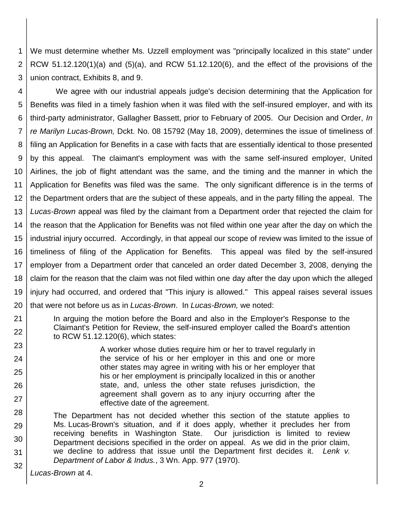1 2 3 We must determine whether Ms. Uzzell employment was "principally localized in this state" under RCW 51.12.120(1)(a) and  $(5)(a)$ , and RCW 51.12.120(6), and the effect of the provisions of the union contract, Exhibits 8, and 9.

4 5 6 7 8 9 10 11 12 13 14 15 16 17 18 19 20 We agree with our industrial appeals judge's decision determining that the Application for Benefits was filed in a timely fashion when it was filed with the self-insured employer, and with its third-party administrator, Gallagher Bassett, prior to February of 2005. Our Decision and Order, *In re Marilyn Lucas-Brown,* Dckt. No. 08 15792 (May 18, 2009), determines the issue of timeliness of filing an Application for Benefits in a case with facts that are essentially identical to those presented by this appeal. The claimant's employment was with the same self-insured employer, United Airlines, the job of flight attendant was the same, and the timing and the manner in which the Application for Benefits was filed was the same. The only significant difference is in the terms of the Department orders that are the subject of these appeals, and in the party filling the appeal. The *Lucas-Brown* appeal was filed by the claimant from a Department order that rejected the claim for the reason that the Application for Benefits was not filed within one year after the day on which the industrial injury occurred. Accordingly, in that appeal our scope of review was limited to the issue of timeliness of filing of the Application for Benefits. This appeal was filed by the self-insured employer from a Department order that canceled an order dated December 3, 2008, denying the claim for the reason that the claim was not filed within one day after the day upon which the alleged injury had occurred, and ordered that "This injury is allowed." This appeal raises several issues that were not before us as in *Lucas-Brown*. In *Lucas-Brown,* we noted:

In arguing the motion before the Board and also in the Employer's Response to the Claimant's Petition for Review, the self-insured employer called the Board's attention to RCW 51.12.120(6), which states:

> A worker whose duties require him or her to travel regularly in the service of his or her employer in this and one or more other states may agree in writing with his or her employer that his or her employment is principally localized in this or another state, and, unless the other state refuses jurisdiction, the agreement shall govern as to any injury occurring after the effective date of the agreement.

28 29 30 31 32 The Department has not decided whether this section of the statute applies to Ms. Lucas-Brown's situation, and if it does apply, whether it precludes her from receiving benefits in Washington State. Our jurisdiction is limited to review Department decisions specified in the order on appeal. As we did in the prior claim, we decline to address that issue until the Department first decides it. *Lenk v. Department of Labor & Indus.*, 3 Wn. App. 977 (1970).

*Lucas-Brown* at 4.

21 22

23

24

25

26

27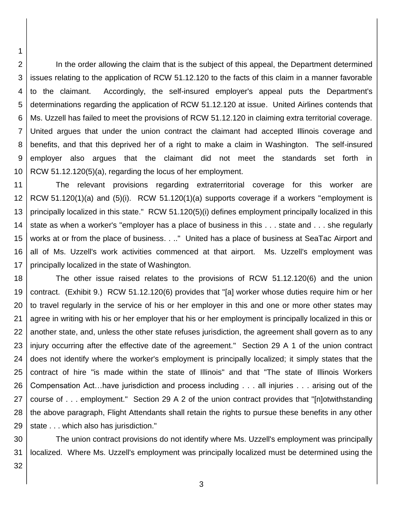2 3 4 5 6 7 8 9 10 In the order allowing the claim that is the subject of this appeal, the Department determined issues relating to the application of RCW 51.12.120 to the facts of this claim in a manner favorable to the claimant. Accordingly, the self-insured employer's appeal puts the Department's determinations regarding the application of RCW 51.12.120 at issue. United Airlines contends that Ms. Uzzell has failed to meet the provisions of RCW 51.12.120 in claiming extra territorial coverage. United argues that under the union contract the claimant had accepted Illinois coverage and benefits, and that this deprived her of a right to make a claim in Washington. The self-insured employer also argues that the claimant did not meet the standards set forth in RCW 51.12.120(5)(a), regarding the locus of her employment.

11 12 13 14 15 16 17 The relevant provisions regarding extraterritorial coverage for this worker are RCW 51.120(1)(a) and (5)(i). RCW 51.120(1)(a) supports coverage if a workers "employment is principally localized in this state." RCW 51.120(5)(i) defines employment principally localized in this state as when a worker's "employer has a place of business in this . . . state and . . . she regularly works at or from the place of business. . .." United has a place of business at SeaTac Airport and all of Ms. Uzzell's work activities commenced at that airport. Ms. Uzzell's employment was principally localized in the state of Washington.

18 19 20 21 22 23 24 25 26 27 28 29 The other issue raised relates to the provisions of RCW 51.12.120(6) and the union contract. (Exhibit 9.) RCW 51.12.120(6) provides that "[a] worker whose duties require him or her to travel regularly in the service of his or her employer in this and one or more other states may agree in writing with his or her employer that his or her employment is principally localized in this or another state, and, unless the other state refuses jurisdiction, the agreement shall govern as to any injury occurring after the effective date of the agreement." Section 29 A 1 of the union contract does not identify where the worker's employment is principally localized; it simply states that the contract of hire "is made within the state of Illinois" and that "The state of Illinois Workers Compensation Act…have jurisdiction and process including . . . all injuries . . . arising out of the course of . . . employment." Section 29 A 2 of the union contract provides that "[n]otwithstanding the above paragraph, Flight Attendants shall retain the rights to pursue these benefits in any other state . . . which also has jurisdiction."

30 31 The union contract provisions do not identify where Ms. Uzzell's employment was principally localized. Where Ms. Uzzell's employment was principally localized must be determined using the

32

1

3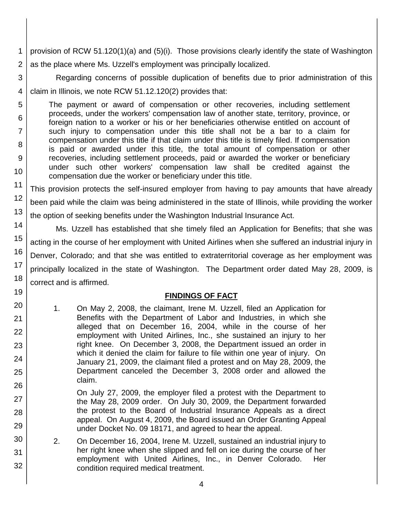- 1 2 provision of RCW 51.120(1)(a) and (5)(i). Those provisions clearly identify the state of Washington as the place where Ms. Uzzell's employment was principally localized.
- 3 4 Regarding concerns of possible duplication of benefits due to prior administration of this claim in Illinois, we note RCW 51.12.120(2) provides that:
	- The payment or award of compensation or other recoveries, including settlement proceeds, under the workers' compensation law of another state, territory, province, or foreign nation to a worker or his or her beneficiaries otherwise entitled on account of such injury to compensation under this title shall not be a bar to a claim for compensation under this title if that claim under this title is timely filed. If compensation is paid or awarded under this title, the total amount of compensation or other recoveries, including settlement proceeds, paid or awarded the worker or beneficiary under such other workers' compensation law shall be credited against the compensation due the worker or beneficiary under this title.

5

6

7

8

9

10

19

20

21

22

23

24

25

26

27

28

29

30

31

32

11 12 13 This provision protects the self-insured employer from having to pay amounts that have already been paid while the claim was being administered in the state of Illinois, while providing the worker the option of seeking benefits under the Washington Industrial Insurance Act.

14 15 16 17 18 Ms. Uzzell has established that she timely filed an Application for Benefits; that she was acting in the course of her employment with United Airlines when she suffered an industrial injury in Denver, Colorado; and that she was entitled to extraterritorial coverage as her employment was principally localized in the state of Washington. The Department order dated May 28, 2009, is correct and is affirmed.

# **FINDINGS OF FACT**

- 1. On May 2, 2008, the claimant, Irene M. Uzzell, filed an Application for Benefits with the Department of Labor and Industries, in which she alleged that on December 16, 2004, while in the course of her employment with United Airlines, Inc., she sustained an injury to her right knee. On December 3, 2008, the Department issued an order in which it denied the claim for failure to file within one year of injury. On January 21, 2009, the claimant filed a protest and on May 28, 2009, the Department canceled the December 3, 2008 order and allowed the claim.
	- On July 27, 2009, the employer filed a protest with the Department to the May 28, 2009 order. On July 30, 2009, the Department forwarded the protest to the Board of Industrial Insurance Appeals as a direct appeal. On August 4, 2009, the Board issued an Order Granting Appeal under Docket No. 09 18171, and agreed to hear the appeal.
- 2. On December 16, 2004, Irene M. Uzzell, sustained an industrial injury to her right knee when she slipped and fell on ice during the course of her employment with United Airlines, Inc., in Denver Colorado. Her condition required medical treatment.
	- 4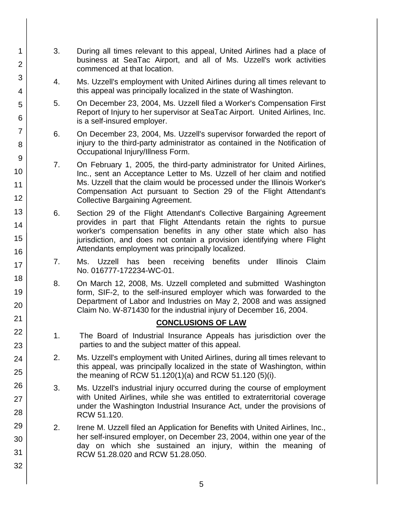3. During all times relevant to this appeal, United Airlines had a place of business at SeaTac Airport, and all of Ms. Uzzell's work activities commenced at that location.

1

2

3

4

5

6

7

8

9

10

11

12

13

14

15

16

17

18

19

20

21 22

23

24

25

26

27

28

29

30

31

32

- 4. Ms. Uzzell's employment with United Airlines during all times relevant to this appeal was principally localized in the state of Washington.
- 5. On December 23, 2004, Ms. Uzzell filed a Worker's Compensation First Report of Injury to her supervisor at SeaTac Airport. United Airlines, Inc. is a self-insured employer.
- 6. On December 23, 2004, Ms. Uzzell's supervisor forwarded the report of injury to the third-party administrator as contained in the Notification of Occupational Injury/Illness Form.
- 7. On February 1, 2005, the third-party administrator for United Airlines, Inc., sent an Acceptance Letter to Ms. Uzzell of her claim and notified Ms. Uzzell that the claim would be processed under the Illinois Worker's Compensation Act pursuant to Section 29 of the Flight Attendant's Collective Bargaining Agreement.
- 6. Section 29 of the Flight Attendant's Collective Bargaining Agreement provides in part that Flight Attendants retain the rights to pursue worker's compensation benefits in any other state which also has jurisdiction, and does not contain a provision identifying where Flight Attendants employment was principally localized.
- 7. Ms. Uzzell has been receiving benefits under Illinois Claim No. 016777-172234-WC-01.
- 8. On March 12, 2008, Ms. Uzzell completed and submitted Washington form, SIF-2, to the self-insured employer which was forwarded to the Department of Labor and Industries on May 2, 2008 and was assigned Claim No. W-871430 for the industrial injury of December 16, 2004.

### **CONCLUSIONS OF LAW**

- 1. The Board of Industrial Insurance Appeals has jurisdiction over the parties to and the subject matter of this appeal.
- 2. Ms. Uzzell's employment with United Airlines, during all times relevant to this appeal, was principally localized in the state of Washington, within the meaning of RCW 51.120(1)(a) and RCW 51.120 (5)(i).
- 3. Ms. Uzzell's industrial injury occurred during the course of employment with United Airlines, while she was entitled to extraterritorial coverage under the Washington Industrial Insurance Act, under the provisions of RCW 51.120.
- 2. Irene M. Uzzell filed an Application for Benefits with United Airlines, Inc., her self-insured employer, on December 23, 2004, within one year of the day on which she sustained an injury, within the meaning of RCW 51.28.020 and RCW 51.28.050.